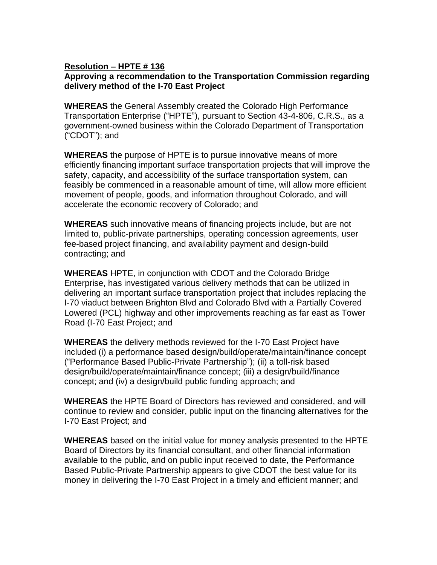## **Resolution – HPTE # 136 Approving a recommendation to the Transportation Commission regarding delivery method of the I-70 East Project**

**WHEREAS** the General Assembly created the Colorado High Performance Transportation Enterprise ("HPTE"), pursuant to Section 43-4-806, C.R.S., as a government-owned business within the Colorado Department of Transportation ("CDOT"); and

**WHEREAS** the purpose of HPTE is to pursue innovative means of more efficiently financing important surface transportation projects that will improve the safety, capacity, and accessibility of the surface transportation system, can feasibly be commenced in a reasonable amount of time, will allow more efficient movement of people, goods, and information throughout Colorado, and will accelerate the economic recovery of Colorado; and

**WHEREAS** such innovative means of financing projects include, but are not limited to, public-private partnerships, operating concession agreements, user fee-based project financing, and availability payment and design-build contracting; and

**WHEREAS** HPTE, in conjunction with CDOT and the Colorado Bridge Enterprise, has investigated various delivery methods that can be utilized in delivering an important surface transportation project that includes replacing the I-70 viaduct between Brighton Blvd and Colorado Blvd with a Partially Covered Lowered (PCL) highway and other improvements reaching as far east as Tower Road (I-70 East Project; and

**WHEREAS** the delivery methods reviewed for the I-70 East Project have included (i) a performance based design/build/operate/maintain/finance concept ("Performance Based Public-Private Partnership"); (ii) a toll-risk based design/build/operate/maintain/finance concept; (iii) a design/build/finance concept; and (iv) a design/build public funding approach; and

**WHEREAS** the HPTE Board of Directors has reviewed and considered, and will continue to review and consider, public input on the financing alternatives for the I-70 East Project; and

**WHEREAS** based on the initial value for money analysis presented to the HPTE Board of Directors by its financial consultant, and other financial information available to the public, and on public input received to date, the Performance Based Public-Private Partnership appears to give CDOT the best value for its money in delivering the I-70 East Project in a timely and efficient manner; and